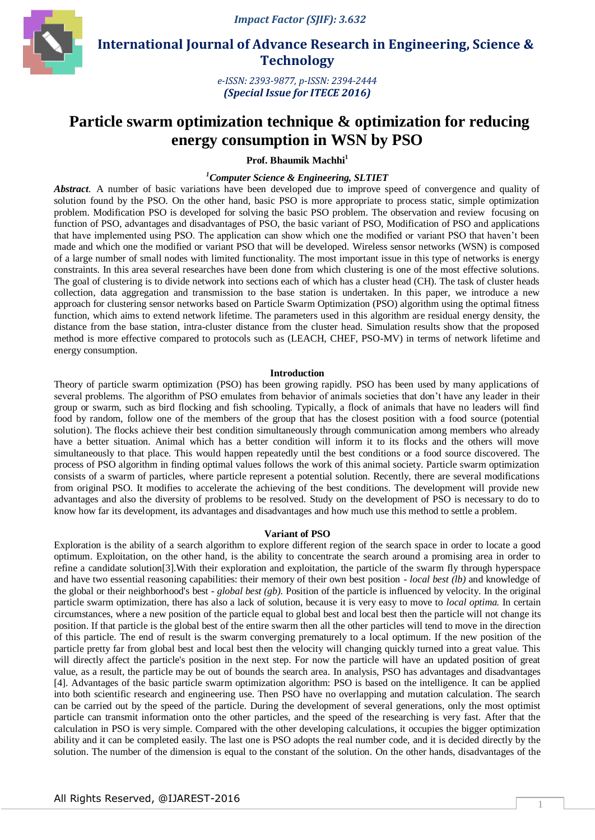

 **International Journal of Advance Research in Engineering, Science & Technology** 

> *e-ISSN: 2393-9877, p-ISSN: 2394-2444 (Special Issue for ITECE 2016)*

# **Particle swarm optimization technique & optimization for reducing energy consumption in WSN by PSO**

**Prof. Bhaumik Machhi<sup>1</sup>**

*<sup>1</sup>Computer Science & Engineering, SLTIET*

*Abstract*. A number of basic variations have been developed due to improve speed of convergence and quality of solution found by the PSO. On the other hand, basic PSO is more appropriate to process static, simple optimization problem. Modification PSO is developed for solving the basic PSO problem. The observation and review focusing on function of PSO, advantages and disadvantages of PSO, the basic variant of PSO, Modification of PSO and applications that have implemented using PSO. The application can show which one the modified or variant PSO that haven't been made and which one the modified or variant PSO that will be developed. Wireless sensor networks (WSN) is composed of a large number of small nodes with limited functionality. The most important issue in this type of networks is energy constraints. In this area several researches have been done from which clustering is one of the most effective solutions. The goal of clustering is to divide network into sections each of which has a cluster head (CH). The task of cluster heads collection, data aggregation and transmission to the base station is undertaken. In this paper, we introduce a new approach for clustering sensor networks based on Particle Swarm Optimization (PSO) algorithm using the optimal fitness function, which aims to extend network lifetime. The parameters used in this algorithm are residual energy density, the distance from the base station, intra-cluster distance from the cluster head. Simulation results show that the proposed method is more effective compared to protocols such as (LEACH, CHEF, PSO-MV) in terms of network lifetime and energy consumption.

#### **Introduction**

Theory of particle swarm optimization (PSO) has been growing rapidly. PSO has been used by many applications of several problems. The algorithm of PSO emulates from behavior of animals societies that don't have any leader in their group or swarm, such as bird flocking and fish schooling. Typically, a flock of animals that have no leaders will find food by random, follow one of the members of the group that has the closest position with a food source (potential solution). The flocks achieve their best condition simultaneously through communication among members who already have a better situation. Animal which has a better condition will inform it to its flocks and the others will move simultaneously to that place. This would happen repeatedly until the best conditions or a food source discovered. The process of PSO algorithm in finding optimal values follows the work of this animal society. Particle swarm optimization consists of a swarm of particles, where particle represent a potential solution. Recently, there are several modifications from original PSO. It modifies to accelerate the achieving of the best conditions. The development will provide new advantages and also the diversity of problems to be resolved. Study on the development of PSO is necessary to do to know how far its development, its advantages and disadvantages and how much use this method to settle a problem.

#### **Variant of PSO**

Exploration is the ability of a search algorithm to explore different region of the search space in order to locate a good optimum. Exploitation, on the other hand, is the ability to concentrate the search around a promising area in order to refine a candidate solution[3].With their exploration and exploitation, the particle of the swarm fly through hyperspace and have two essential reasoning capabilities: their memory of their own best position - *local best (lb)* and knowledge of the global or their neighborhood's best *- global best (gb)*. Position of the particle is influenced by velocity. In the original particle swarm optimization, there has also a lack of solution, because it is very easy to move to *local optima.* In certain circumstances, where a new position of the particle equal to global best and local best then the particle will not change its position. If that particle is the global best of the entire swarm then all the other particles will tend to move in the direction of this particle. The end of result is the swarm converging prematurely to a local optimum. If the new position of the particle pretty far from global best and local best then the velocity will changing quickly turned into a great value. This will directly affect the particle's position in the next step. For now the particle will have an updated position of great value, as a result, the particle may be out of bounds the search area. In analysis, PSO has advantages and disadvantages [4]. Advantages of the basic particle swarm optimization algorithm: PSO is based on the intelligence. It can be applied into both scientific research and engineering use. Then PSO have no overlapping and mutation calculation. The search can be carried out by the speed of the particle. During the development of several generations, only the most optimist particle can transmit information onto the other particles, and the speed of the researching is very fast. After that the calculation in PSO is very simple. Compared with the other developing calculations, it occupies the bigger optimization ability and it can be completed easily. The last one is PSO adopts the real number code, and it is decided directly by the solution. The number of the dimension is equal to the constant of the solution. On the other hands, disadvantages of the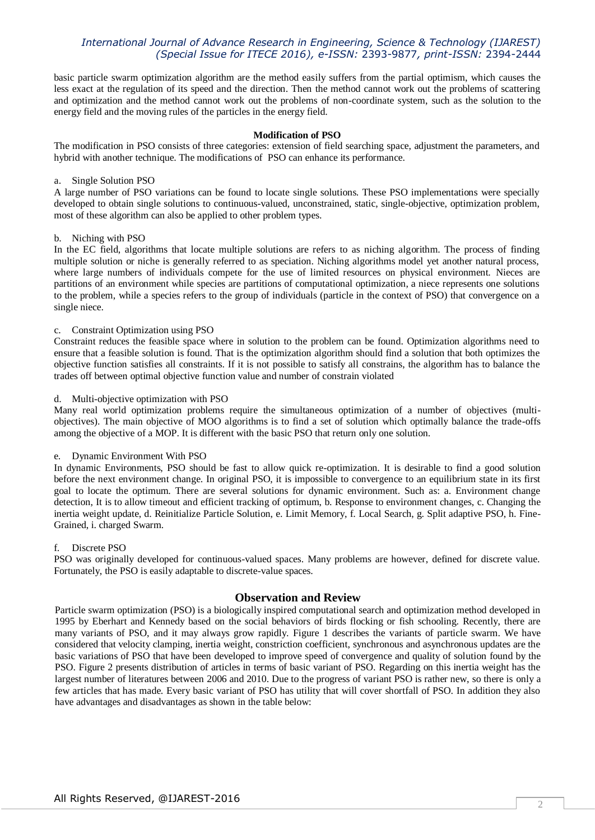basic particle swarm optimization algorithm are the method easily suffers from the partial optimism, which causes the less exact at the regulation of its speed and the direction. Then the method cannot work out the problems of scattering and optimization and the method cannot work out the problems of non-coordinate system, such as the solution to the energy field and the moving rules of the particles in the energy field.

#### **Modification of PSO**

The modification in PSO consists of three categories: extension of field searching space, adjustment the parameters, and hybrid with another technique. The modifications of PSO can enhance its performance.

#### a. Single Solution PSO

A large number of PSO variations can be found to locate single solutions. These PSO implementations were specially developed to obtain single solutions to continuous-valued, unconstrained, static, single-objective, optimization problem, most of these algorithm can also be applied to other problem types.

### b. Niching with PSO

In the EC field, algorithms that locate multiple solutions are refers to as niching algorithm. The process of finding multiple solution or niche is generally referred to as speciation. Niching algorithms model yet another natural process, where large numbers of individuals compete for the use of limited resources on physical environment. Nieces are partitions of an environment while species are partitions of computational optimization, a niece represents one solutions to the problem, while a species refers to the group of individuals (particle in the context of PSO) that convergence on a single niece.

### c. Constraint Optimization using PSO

Constraint reduces the feasible space where in solution to the problem can be found. Optimization algorithms need to ensure that a feasible solution is found. That is the optimization algorithm should find a solution that both optimizes the objective function satisfies all constraints. If it is not possible to satisfy all constrains, the algorithm has to balance the trades off between optimal objective function value and number of constrain violated

#### d. Multi-objective optimization with PSO

Many real world optimization problems require the simultaneous optimization of a number of objectives (multiobjectives). The main objective of MOO algorithms is to find a set of solution which optimally balance the trade-offs among the objective of a MOP. It is different with the basic PSO that return only one solution.

### e. Dynamic Environment With PSO

In dynamic Environments, PSO should be fast to allow quick re-optimization. It is desirable to find a good solution before the next environment change. In original PSO, it is impossible to convergence to an equilibrium state in its first goal to locate the optimum. There are several solutions for dynamic environment. Such as: a. Environment change detection, It is to allow timeout and efficient tracking of optimum, b. Response to environment changes, c. Changing the inertia weight update, d. Reinitialize Particle Solution, e. Limit Memory, f. Local Search, g. Split adaptive PSO, h. Fine-Grained, i. charged Swarm.

### f. Discrete PSO

PSO was originally developed for continuous-valued spaces. Many problems are however, defined for discrete value. Fortunately, the PSO is easily adaptable to discrete-value spaces.

### **Observation and Review**

Particle swarm optimization (PSO) is a biologically inspired computational search and optimization method developed in 1995 by Eberhart and Kennedy based on the social behaviors of birds flocking or fish schooling. Recently, there are many variants of PSO, and it may always grow rapidly. Figure 1 describes the variants of particle swarm. We have considered that velocity clamping, inertia weight, constriction coefficient, synchronous and asynchronous updates are the basic variations of PSO that have been developed to improve speed of convergence and quality of solution found by the PSO. Figure 2 presents distribution of articles in terms of basic variant of PSO. Regarding on this inertia weight has the largest number of literatures between 2006 and 2010. Due to the progress of variant PSO is rather new, so there is only a few articles that has made. Every basic variant of PSO has utility that will cover shortfall of PSO. In addition they also have advantages and disadvantages as shown in the table below: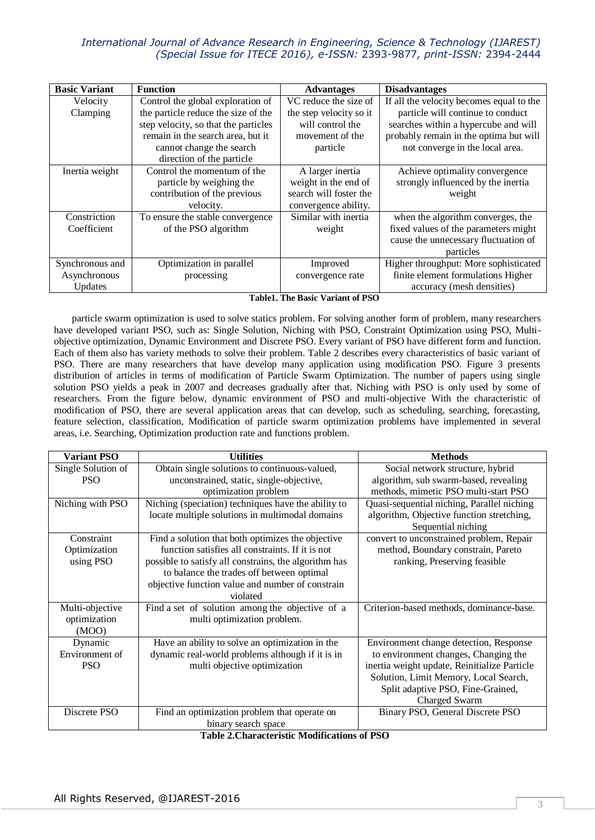| <b>Basic Variant</b> | <b>Function</b>                      | <b>Advantages</b>       | <b>Disadvantages</b>                     |
|----------------------|--------------------------------------|-------------------------|------------------------------------------|
| Velocity             | Control the global exploration of    | VC reduce the size of   | If all the velocity becomes equal to the |
| Clamping             | the particle reduce the size of the  | the step velocity so it | particle will continue to conduct        |
|                      | step velocity, so that the particles | will control the        | searches within a hypercube and will     |
|                      | remain in the search area, but it    | movement of the         | probably remain in the optima but will   |
|                      | cannot change the search             | particle                | not converge in the local area.          |
|                      | direction of the particle            |                         |                                          |
| Inertia weight       | Control the momentum of the          | A larger inertia        | Achieve optimality convergence           |
|                      | particle by weighing the             | weight in the end of    | strongly influenced by the inertia       |
|                      | contribution of the previous         | search will foster the  | weight                                   |
|                      | velocity.                            | convergence ability.    |                                          |
| Constriction         | To ensure the stable convergence     | Similar with inertia    | when the algorithm converges, the        |
| Coefficient          | of the PSO algorithm                 | weight                  | fixed values of the parameters might     |
|                      |                                      |                         | cause the unnecessary fluctuation of     |
|                      |                                      |                         | particles                                |
| Synchronous and      | Optimization in parallel             | Improved                | Higher throughput: More sophisticated    |
| Asynchronous         | processing                           | convergence rate        | finite element formulations Higher       |
| <b>Updates</b>       |                                      |                         | accuracy (mesh densities)                |

**Table1. The Basic Variant of PSO**

particle swarm optimization is used to solve statics problem. For solving another form of problem, many researchers have developed variant PSO, such as: Single Solution, Niching with PSO, Constraint Optimization using PSO, Multiobjective optimization, Dynamic Environment and Discrete PSO. Every variant of PSO have different form and function. Each of them also has variety methods to solve their problem. Table 2 describes every characteristics of basic variant of PSO. There are many researchers that have develop many application using modification PSO. Figure 3 presents distribution of articles in terms of modification of Particle Swarm Optimization. The number of papers using single solution PSO yields a peak in 2007 and decreases gradually after that. Niching with PSO is only used by some of researchers. From the figure below, dynamic environment of PSO and multi-objective With the characteristic of modification of PSO, there are several application areas that can develop, such as scheduling, searching, forecasting, feature selection, classification, Modification of particle swarm optimization problems have implemented in several areas, i.e. Searching, Optimization production rate and functions problem.

| <b>Variant PSO</b> | <b>Utilities</b>                                      | <b>Methods</b>                               |  |
|--------------------|-------------------------------------------------------|----------------------------------------------|--|
| Single Solution of | Obtain single solutions to continuous-valued,         | Social network structure, hybrid             |  |
| <b>PSO</b>         | unconstrained, static, single-objective,              | algorithm, sub swarm-based, revealing        |  |
|                    | optimization problem                                  | methods, mimetic PSO multi-start PSO         |  |
| Niching with PSO   | Niching (speciation) techniques have the ability to   | Quasi-sequential niching, Parallel niching   |  |
|                    | locate multiple solutions in multimodal domains       | algorithm, Objective function stretching,    |  |
|                    |                                                       | Sequential niching                           |  |
| Constraint         | Find a solution that both optimizes the objective     | convert to unconstrained problem, Repair     |  |
| Optimization       | function satisfies all constraints. If it is not      | method, Boundary constrain, Pareto           |  |
| using PSO          | possible to satisfy all constrains, the algorithm has | ranking, Preserving feasible                 |  |
|                    | to balance the trades off between optimal             |                                              |  |
|                    | objective function value and number of constrain      |                                              |  |
|                    | violated                                              |                                              |  |
| Multi-objective    | Find a set of solution among the objective of a       | Criterion-based methods, dominance-base.     |  |
| optimization       | multi optimization problem.                           |                                              |  |
| (MOO)              |                                                       |                                              |  |
| Dynamic            | Have an ability to solve an optimization in the       | Environment change detection, Response       |  |
| Environment of     | dynamic real-world problems although if it is in      | to environment changes, Changing the         |  |
| <b>PSO</b>         | multi objective optimization                          | inertia weight update, Reinitialize Particle |  |
|                    |                                                       | Solution, Limit Memory, Local Search,        |  |
|                    |                                                       | Split adaptive PSO, Fine-Grained,            |  |
|                    |                                                       | Charged Swarm                                |  |
| Discrete PSO       | Find an optimization problem that operate on          | Binary PSO, General Discrete PSO             |  |
|                    | binary search space                                   |                                              |  |

| <b>Table 2. Characteristic Modifications of PSO</b> |  |
|-----------------------------------------------------|--|
|-----------------------------------------------------|--|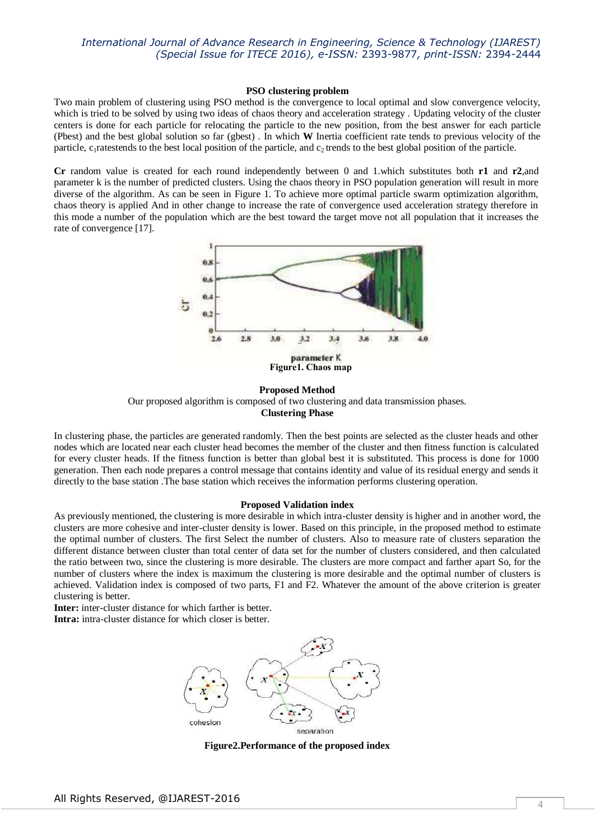#### **PSO clustering problem**

Two main problem of clustering using PSO method is the convergence to local optimal and slow convergence velocity, which is tried to be solved by using two ideas of chaos theory and acceleration strategy . Updating velocity of the cluster centers is done for each particle for relocating the particle to the new position, from the best answer for each particle (Pbest) and the best global solution so far (gbest) . In which **W** Inertia coefficient rate tends to previous velocity of the particle,  $c_1$ ratestends to the best local position of the particle, and  $c_2$  trends to the best global position of the particle.

**Cr** random value is created for each round independently between 0 and 1.which substitutes both **r1** and **r2**,and parameter k is the number of predicted clusters. Using the chaos theory in PSO population generation will result in more diverse of the algorithm. As can be seen in Figure 1. To achieve more optimal particle swarm optimization algorithm, chaos theory is applied And in other change to increase the rate of convergence used acceleration strategy therefore in this mode a number of the population which are the best toward the target move not all population that it increases the rate of convergence [17].



**Proposed Method** Our proposed algorithm is composed of two clustering and data transmission phases. **Clustering Phase**

In clustering phase, the particles are generated randomly. Then the best points are selected as the cluster heads and other nodes which are located near each cluster head becomes the member of the cluster and then fitness function is calculated for every cluster heads. If the fitness function is better than global best it is substituted. This process is done for 1000 generation. Then each node prepares a control message that contains identity and value of its residual energy and sends it directly to the base station .The base station which receives the information performs clustering operation.

### **Proposed Validation index**

As previously mentioned, the clustering is more desirable in which intra-cluster density is higher and in another word, the clusters are more cohesive and inter-cluster density is lower. Based on this principle, in the proposed method to estimate the optimal number of clusters. The first Select the number of clusters. Also to measure rate of clusters separation the different distance between cluster than total center of data set for the number of clusters considered, and then calculated the ratio between two, since the clustering is more desirable. The clusters are more compact and farther apart So, for the number of clusters where the index is maximum the clustering is more desirable and the optimal number of clusters is achieved. Validation index is composed of two parts, F1 and F2. Whatever the amount of the above criterion is greater clustering is better.

**Inter:** inter-cluster distance for which farther is better. **Intra:** intra-cluster distance for which closer is better.



**Figure2.Performance of the proposed index**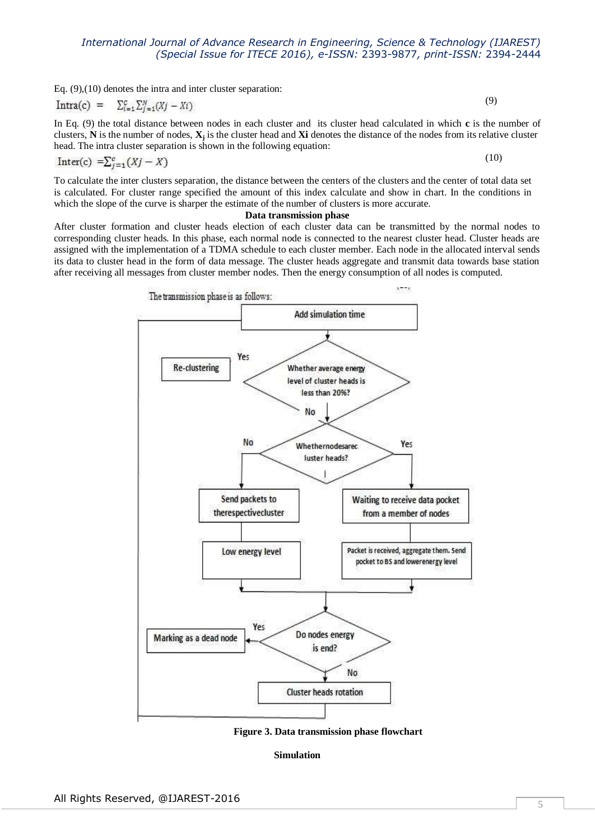Eq. (9),(10) denotes the intra and inter cluster separation:

$$
Intra(c) = \sum_{i=1}^{c} \sum_{j=1}^{N} (Xj - Xi)
$$

In Eq. (9) the total distance between nodes in each cluster and its cluster head calculated in which **c** is the number of clusters, **N** is the number of nodes, **X<sup>j</sup>** is the cluster head and **Xi** denotes the distance of the nodes from its relative cluster head. The intra cluster separation is shown in the following equation: (10)

$$
Inter(c) = \sum_{i=1}^{c} (Xj - X)
$$

To calculate the inter clusters separation, the distance between the centers of the clusters and the center of total data set is calculated. For cluster range specified the amount of this index calculate and show in chart. In the conditions in which the slope of the curve is sharper the estimate of the number of clusters is more accurate.

#### **Data transmission phase**

After cluster formation and cluster heads election of each cluster data can be transmitted by the normal nodes to corresponding cluster heads. In this phase, each normal node is connected to the nearest cluster head. Cluster heads are assigned with the implementation of a TDMA schedule to each cluster member. Each node in the allocated interval sends its data to cluster head in the form of data message. The cluster heads aggregate and transmit data towards base station after receiving all messages from cluster member nodes. Then the energy consumption of all nodes is computed.



**Figure 3. Data transmission phase flowchart**

**Simulation**

(9)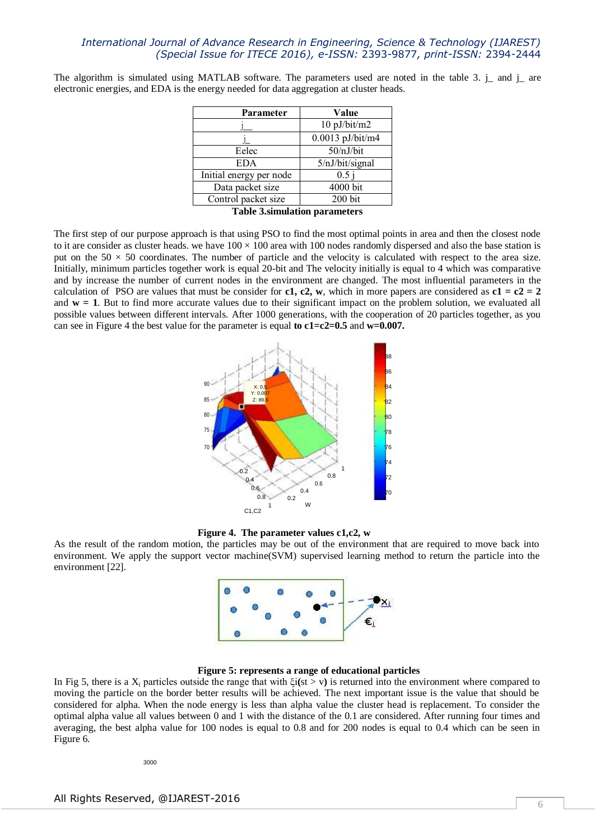The algorithm is simulated using MATLAB software. The parameters used are noted in the table 3. j\_ and j\_ are electronic energies, and EDA is the energy needed for data aggregation at cluster heads.

| Parameter               | Value              |
|-------------------------|--------------------|
|                         | $10$ pJ/bit/m2     |
|                         | $0.0013$ pJ/bit/m4 |
| Eelec                   | 50/nJ/bit          |
| <b>EDA</b>              | 5/nJ/bit/signal    |
| Initial energy per node | $0.5$ j            |
| Data packet size        | 4000 bit           |
| Control packet size     | $200$ bit          |
|                         |                    |

**Table 3.simulation parameters**

The first step of our purpose approach is that using PSO to find the most optimal points in area and then the closest node to it are consider as cluster heads. we have  $100 \times 100$  area with 100 nodes randomly dispersed and also the base station is put on the  $50 \times 50$  coordinates. The number of particle and the velocity is calculated with respect to the area size. Initially, minimum particles together work is equal 20-bit and The velocity initially is equal to 4 which was comparative and by increase the number of current nodes in the environment are changed. The most influential parameters in the calculation of PSO are values that must be consider for **c1, c2, w**, which in more papers are considered as  $c1 = c2 = 2$ and  $w = 1$ . But to find more accurate values due to their significant impact on the problem solution, we evaluated all possible values between different intervals. After 1000 generations, with the cooperation of 20 particles together, as you can see in Figure 4 the best value for the parameter is equal **to c1=c2=0.5** and **w=0.007.**





As the result of the random motion, the particles may be out of the environment that are required to move back into environment. We apply the support vector machine(SVM) supervised learning method to return the particle into the environment [22].



### **Figure 5: represents a range of educational particles**

In Fig 5, there is a  $X_i$  particles outside the range that with  $\xi i(s > v)$  is returned into the environment where compared to moving the particle on the border better results will be achieved. The next important issue is the value that should be considered for alpha. When the node energy is less than alpha value the cluster head is replacement. To consider the optimal alpha value all values between 0 and 1 with the distance of the 0.1 are considered. After running four times and averaging, the best alpha value for 100 nodes is equal to 0.8 and for 200 nodes is equal to 0.4 which can be seen in Figure 6.

3000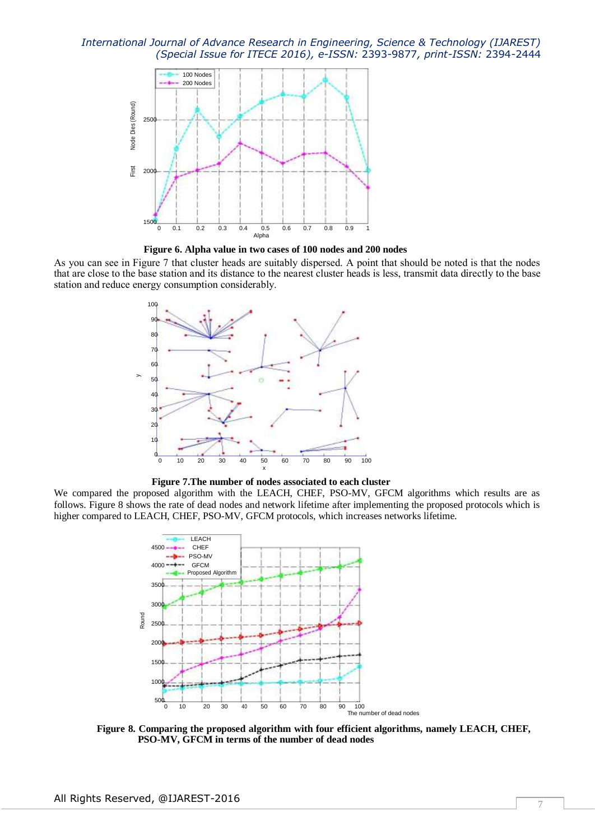

**Figure 6. Alpha value in two cases of 100 nodes and 200 nodes**

As you can see in Figure 7 that cluster heads are suitably dispersed. A point that should be noted is that the nodes that are close to the base station and its distance to the nearest cluster heads is less, transmit data directly to the base station and reduce energy consumption considerably.





We compared the proposed algorithm with the LEACH, CHEF, PSO-MV, GFCM algorithms which results are as follows. Figure 8 shows the rate of dead nodes and network lifetime after implementing the proposed protocols which is higher compared to LEACH, CHEF, PSO-MV, GFCM protocols, which increases networks lifetime.



**Figure 8. Comparing the proposed algorithm with four efficient algorithms, namely LEACH, CHEF, PSO-MV, GFCM in terms of the number of dead nodes**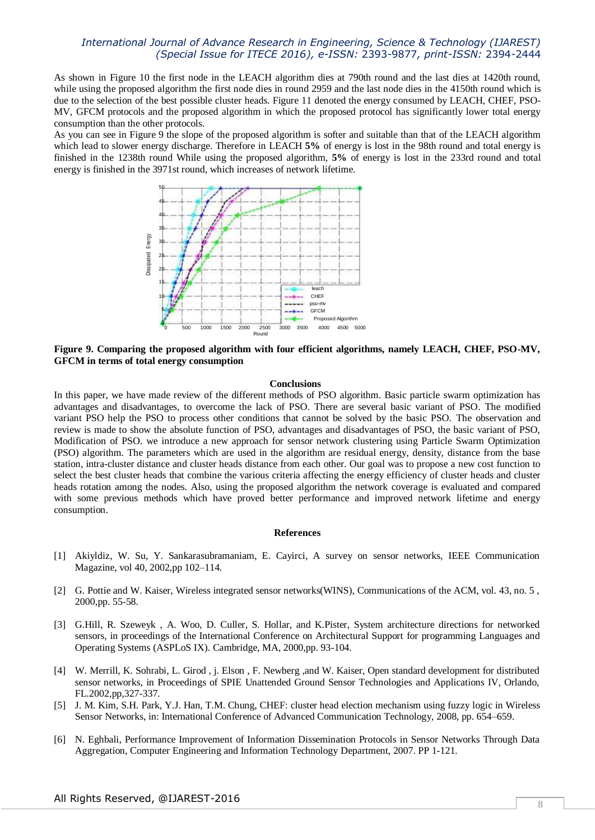As shown in Figure 10 the first node in the LEACH algorithm dies at 790th round and the last dies at 1420th round, while using the proposed algorithm the first node dies in round 2959 and the last node dies in the 4150th round which is due to the selection of the best possible cluster heads. Figure 11 denoted the energy consumed by LEACH, CHEF, PSO-MV, GFCM protocols and the proposed algorithm in which the proposed protocol has significantly lower total energy consumption than the other protocols.

As you can see in Figure 9 the slope of the proposed algorithm is softer and suitable than that of the LEACH algorithm which lead to slower energy discharge. Therefore in LEACH **5%** of energy is lost in the 98th round and total energy is finished in the 1238th round While using the proposed algorithm, **5%** of energy is lost in the 233rd round and total energy is finished in the 3971st round, which increases of network lifetime.



**Figure 9. Comparing the proposed algorithm with four efficient algorithms, namely LEACH, CHEF, PSO-MV, GFCM in terms of total energy consumption** 

#### **Conclusions**

In this paper, we have made review of the different methods of PSO algorithm. Basic particle swarm optimization has advantages and disadvantages, to overcome the lack of PSO. There are several basic variant of PSO. The modified variant PSO help the PSO to process other conditions that cannot be solved by the basic PSO. The observation and review is made to show the absolute function of PSO, advantages and disadvantages of PSO, the basic variant of PSO, Modification of PSO. we introduce a new approach for sensor network clustering using Particle Swarm Optimization (PSO) algorithm. The parameters which are used in the algorithm are residual energy, density, distance from the base station, intra-cluster distance and cluster heads distance from each other. Our goal was to propose a new cost function to select the best cluster heads that combine the various criteria affecting the energy efficiency of cluster heads and cluster heads rotation among the nodes. Also, using the proposed algorithm the network coverage is evaluated and compared with some previous methods which have proved better performance and improved network lifetime and energy consumption.

### **References**

- [1] Akiyldiz, W. Su, Y. Sankarasubramaniam, E. Cayirci, A survey on sensor networks, IEEE Communication Magazine, vol 40, 2002,pp 102–114.
- [2] G. Pottie and W. Kaiser, Wireless integrated sensor networks(WINS), Communications of the ACM, vol. 43, no. 5 , 2000,pp. 55-58.
- [3] G.Hill, R. Szeweyk , A. Woo, D. Culler, S. Hollar, and K.Pister, System architecture directions for networked sensors, in proceedings of the International Conference on Architectural Support for programming Languages and Operating Systems (ASPLoS IX). Cambridge, MA, 2000,pp. 93-104.
- [4] W. Merrill, K. Sohrabi, L. Girod , j. Elson , F. Newberg ,and W. Kaiser, Open standard development for distributed sensor networks, in Proceedings of SPIE Unattended Ground Sensor Technologies and Applications IV, Orlando, FL.2002,pp,327-337.
- [5] J. M. Kim, S.H. Park, Y.J. Han, T.M. Chung, CHEF: cluster head election mechanism using fuzzy logic in Wireless Sensor Networks, in: International Conference of Advanced Communication Technology, 2008, pp. 654–659.
- [6] N. Eghbali, Performance Improvement of Information Dissemination Protocols in Sensor Networks Through Data Aggregation, Computer Engineering and Information Technology Department, 2007. PP 1-121.